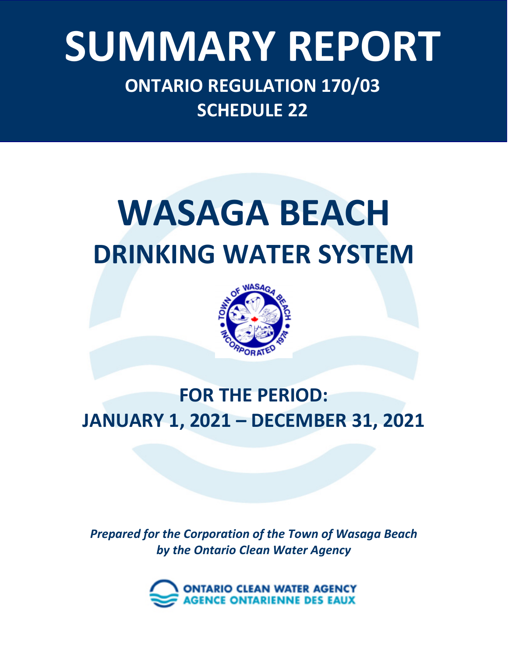# Ontario Clean Water Agency – *Minesing Well Supply System* **SUMMARY REPORT**

**ONTARIO REGULATION 170/03 SCHEDULE 22**

# **WASAGA BEACH DRINKING WATER SYSTEM**



# **FOR THE PERIOD: JANUARY 1, 2021 – DECEMBER 31, 2021**

*Prepared for the Corporation of the Town of Wasaga Beach by the Ontario Clean Water Agency*

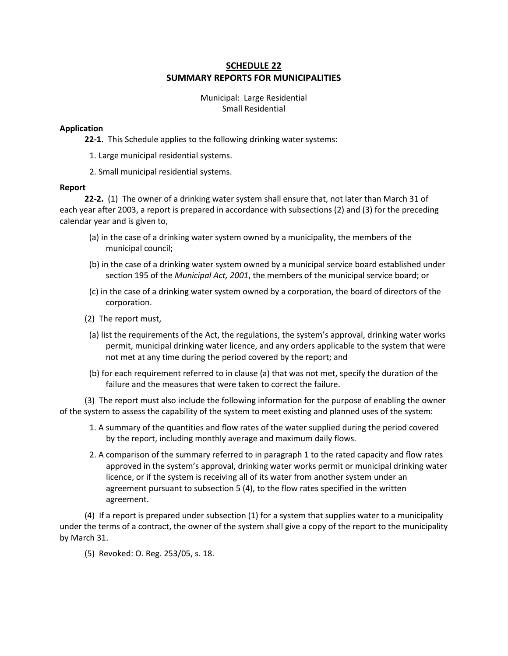#### **[SCHEDULE 22](http://www.e-laws.gov.on.ca/html/regs/french/elaws_regs_030170_f.htm#sft22) SUMMARY REPORTS FOR MUNICIPALITIES**

Municipal: Large Residential Small Residential

#### **Application**

**22-1.** This Schedule applies to the following drinking water systems:

- 1. Large municipal residential systems.
- 2. Small municipal residential systems.

#### **Report**

**22-2.** (1) The owner of a drinking water system shall ensure that, not later than March 31 of each year after 2003, a report is prepared in accordance with subsections (2) and (3) for the preceding calendar year and is given to,

- (a) in the case of a drinking water system owned by a municipality, the members of the municipal council;
- (b) in the case of a drinking water system owned by a municipal service board established under section 195 of the *Municipal Act, 2001*, the members of the municipal service board; or
- (c) in the case of a drinking water system owned by a corporation, the board of directors of the corporation.
- (2) The report must,
- (a) list the requirements of the Act, the regulations, the system's approval, drinking water works permit, municipal drinking water licence, and any orders applicable to the system that were not met at any time during the period covered by the report; and
- (b) for each requirement referred to in clause (a) that was not met, specify the duration of the failure and the measures that were taken to correct the failure.

(3) The report must also include the following information for the purpose of enabling the owner of the system to assess the capability of the system to meet existing and planned uses of the system:

- 1. A summary of the quantities and flow rates of the water supplied during the period covered by the report, including monthly average and maximum daily flows.
- 2. A comparison of the summary referred to in paragraph 1 to the rated capacity and flow rates approved in the system's approval, drinking water works permit or municipal drinking water licence, or if the system is receiving all of its water from another system under an agreement pursuant to subsection 5 (4), to the flow rates specified in the written agreement.

(4) If a report is prepared under subsection (1) for a system that supplies water to a municipality under the terms of a contract, the owner of the system shall give a copy of the report to the municipality by March 31.

(5) Revoked: O. Reg. 253/05, s. 18.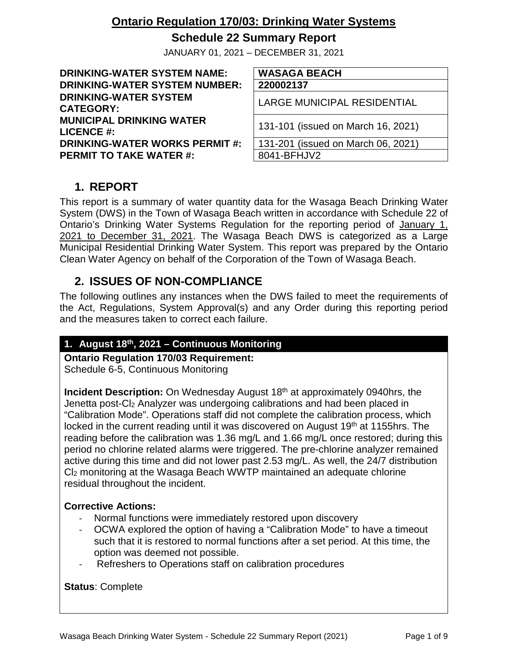### **Schedule 22 Summary Report**

JANUARY 01, 2021 – DECEMBER 31, 2021

**DRINKING-WATER SYSTEM NAME: WASAGA BEACH DRINKING-WATER SYSTEM NUMBER: 220002137 DRINKING-WATER SYSTEM CATEGORY:** LARGE MUNICIPAL RESIDENTIAL **MUNICIPAL DRINKING WATER LICENCE #:** 131-101 (issued on March 16, 2021) **DRINKING-WATER WORKS PERMIT #:** 131-201 (issued on March 06, 2021)<br>**PERMIT TO TAKE WATER #:** 8041-BFHJV2 **PERMIT TO TAKE WATER #:** 

# **1. REPORT**

This report is a summary of water quantity data for the Wasaga Beach Drinking Water System (DWS) in the Town of Wasaga Beach written in accordance with Schedule 22 of Ontario's Drinking Water Systems Regulation for the reporting period of January 1, 2021 to December 31, 2021. The Wasaga Beach DWS is categorized as a Large Municipal Residential Drinking Water System. This report was prepared by the Ontario Clean Water Agency on behalf of the Corporation of the Town of Wasaga Beach.

# **2. ISSUES OF NON-COMPLIANCE**

The following outlines any instances when the DWS failed to meet the requirements of the Act, Regulations, System Approval(s) and any Order during this reporting period and the measures taken to correct each failure.

#### **1. August 18th, 2021 – Continuous Monitoring**

**Ontario Regulation 170/03 Requirement:** Schedule 6-5, Continuous Monitoring

**Incident Description:** On Wednesday August 18<sup>th</sup> at approximately 0940hrs, the Jenetta post-C<sub>l2</sub> Analyzer was undergoing calibrations and had been placed in "Calibration Mode". Operations staff did not complete the calibration process, which locked in the current reading until it was discovered on August 19<sup>th</sup> at 1155hrs. The reading before the calibration was 1.36 mg/L and 1.66 mg/L once restored; during this period no chlorine related alarms were triggered. The pre-chlorine analyzer remained active during this time and did not lower past 2.53 mg/L. As well, the 24/7 distribution Cl2 monitoring at the Wasaga Beach WWTP maintained an adequate chlorine residual throughout the incident.

#### **Corrective Actions:**

- Normal functions were immediately restored upon discovery
- OCWA explored the option of having a "Calibration Mode" to have a timeout such that it is restored to normal functions after a set period. At this time, the option was deemed not possible.
- Refreshers to Operations staff on calibration procedures

**Status**: Complete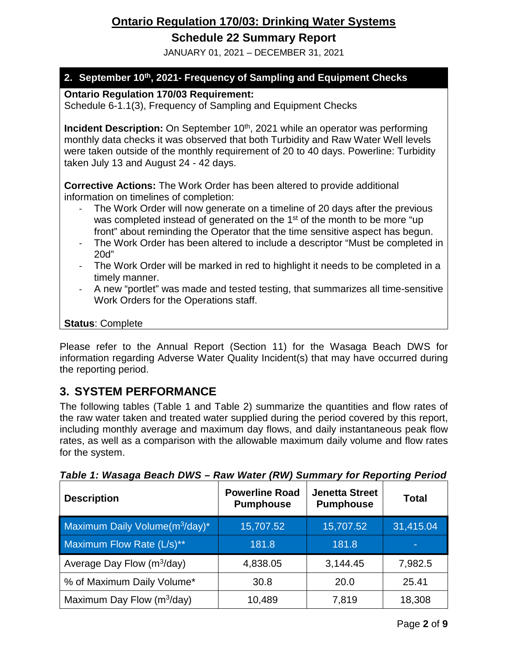## **Schedule 22 Summary Report**

JANUARY 01, 2021 – DECEMBER 31, 2021

### **2. September 10th, 2021- Frequency of Sampling and Equipment Checks**

**Ontario Regulation 170/03 Requirement:**

Schedule 6-1.1(3), Frequency of Sampling and Equipment Checks

**Incident Description:** On September 10<sup>th</sup>, 2021 while an operator was performing monthly data checks it was observed that both Turbidity and Raw Water Well levels were taken outside of the monthly requirement of 20 to 40 days. Powerline: Turbidity taken July 13 and August 24 - 42 days.

**Corrective Actions:** The Work Order has been altered to provide additional information on timelines of completion:

- The Work Order will now generate on a timeline of 20 days after the previous was completed instead of generated on the 1<sup>st</sup> of the month to be more "up front" about reminding the Operator that the time sensitive aspect has begun.
- The Work Order has been altered to include a descriptor "Must be completed in 20d"
- The Work Order will be marked in red to highlight it needs to be completed in a timely manner.
- A new "portlet" was made and tested testing, that summarizes all time-sensitive Work Orders for the Operations staff.

#### **Status**: Complete

Please refer to the Annual Report (Section 11) for the Wasaga Beach DWS for information regarding Adverse Water Quality Incident(s) that may have occurred during the reporting period.

# **3. SYSTEM PERFORMANCE**

The following tables (Table 1 and Table 2) summarize the quantities and flow rates of the raw water taken and treated water supplied during the period covered by this report, including monthly average and maximum day flows, and daily instantaneous peak flow rates, as well as a comparison with the allowable maximum daily volume and flow rates for the system.

| <b>Description</b>                         | <b>Powerline Road</b><br><b>Pumphouse</b> | <b>Jenetta Street</b><br><b>Pumphouse</b> | <b>Total</b> |
|--------------------------------------------|-------------------------------------------|-------------------------------------------|--------------|
| Maximum Daily Volume(m <sup>3</sup> /day)* | 15,707.52                                 | 15,707.52                                 | 31,415.04    |
| Maximum Flow Rate (L/s)**                  | 181.8                                     | 181.8                                     | ٠            |
| Average Day Flow $(m^3/day)$               | 4,838.05                                  | 3,144.45                                  | 7,982.5      |
| % of Maximum Daily Volume*                 | 30.8                                      | 20.0                                      | 25.41        |
| Maximum Day Flow (m <sup>3</sup> /day)     | 10,489                                    | 7,819                                     | 18,308       |

*Table 1: Wasaga Beach DWS – Raw Water (RW) Summary for Reporting Period*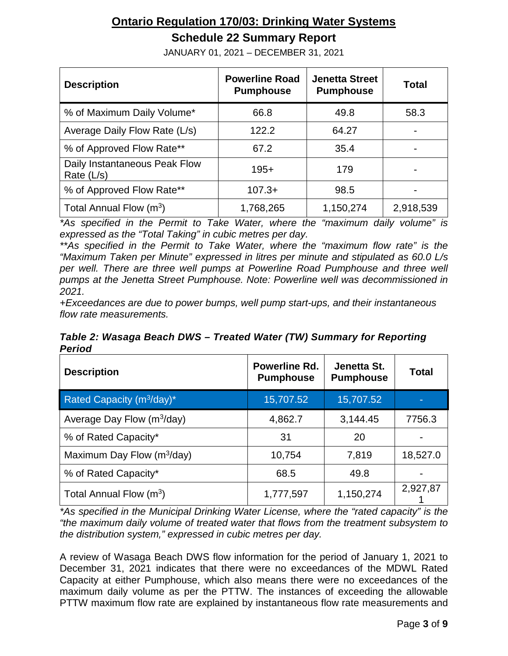# **Schedule 22 Summary Report**

| <b>Description</b>                            | <b>Powerline Road</b><br><b>Pumphouse</b> | <b>Jenetta Street</b><br><b>Pumphouse</b> | <b>Total</b>   |
|-----------------------------------------------|-------------------------------------------|-------------------------------------------|----------------|
| % of Maximum Daily Volume*                    | 66.8                                      | 49.8                                      | 58.3           |
| Average Daily Flow Rate (L/s)                 | 122.2                                     | 64.27                                     |                |
| % of Approved Flow Rate**                     | 67.2                                      | 35.4                                      | $\blacksquare$ |
| Daily Instantaneous Peak Flow<br>Rate $(L/s)$ | $195+$                                    | 179                                       | $\blacksquare$ |
| % of Approved Flow Rate**                     | $107.3+$                                  | 98.5                                      |                |
| Total Annual Flow $(m^3)$                     | 1,768,265                                 | 1,150,274                                 | 2,918,539      |

JANUARY 01, 2021 – DECEMBER 31, 2021

*\*As specified in the Permit to Take Water, where the "maximum daily volume" is expressed as the "Total Taking" in cubic metres per day.*

*\*\*As specified in the Permit to Take Water, where the "maximum flow rate" is the "Maximum Taken per Minute" expressed in litres per minute and stipulated as 60.0 L/s per well. There are three well pumps at Powerline Road Pumphouse and three well pumps at the Jenetta Street Pumphouse. Note: Powerline well was decommissioned in 2021.*

*+Exceedances are due to power bumps, well pump start-ups, and their instantaneous flow rate measurements.*

*Table 2: Wasaga Beach DWS – Treated Water (TW) Summary for Reporting Period*

| <b>Description</b>           | Powerline Rd.<br><b>Pumphouse</b> | Jenetta St.<br><b>Pumphouse</b> | Total    |
|------------------------------|-----------------------------------|---------------------------------|----------|
| Rated Capacity $(m^3/day)^*$ | 15,707.52                         | 15,707.52                       |          |
| Average Day Flow $(m^3/day)$ | 4,862.7                           | 3,144.45                        | 7756.3   |
| % of Rated Capacity*         | 31                                | 20                              |          |
| Maximum Day Flow $(m^3/day)$ | 10,754                            | 7,819                           | 18,527.0 |
| % of Rated Capacity*         | 68.5                              | 49.8                            |          |
| Total Annual Flow $(m^3)$    | 1,777,597                         | 1,150,274                       | 2,927,87 |

*\*As specified in the Municipal Drinking Water License, where the "rated capacity" is the "the maximum daily volume of treated water that flows from the treatment subsystem to the distribution system," expressed in cubic metres per day.*

A review of Wasaga Beach DWS flow information for the period of January 1, 2021 to December 31, 2021 indicates that there were no exceedances of the MDWL Rated Capacity at either Pumphouse, which also means there were no exceedances of the maximum daily volume as per the PTTW. The instances of exceeding the allowable PTTW maximum flow rate are explained by instantaneous flow rate measurements and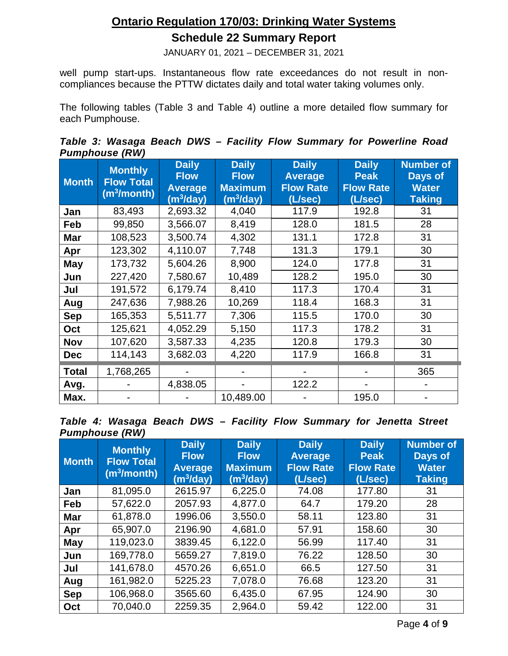# **Ontario Regulation 170/03: Drinking Water Systems Schedule 22 Summary Report**

JANUARY 01, 2021 – DECEMBER 31, 2021

well pump start-ups. Instantaneous flow rate exceedances do not result in noncompliances because the PTTW dictates daily and total water taking volumes only.

The following tables (Table 3 and Table 4) outline a more detailed flow summary for each Pumphouse.

|  |                       |  |  |  | Table 3: Wasaga Beach DWS - Facility Flow Summary for Powerline Road |  |
|--|-----------------------|--|--|--|----------------------------------------------------------------------|--|
|  | <b>Pumphouse (RW)</b> |  |  |  |                                                                      |  |

| <b>Month</b> | <b>Monthly</b><br><b>Flow Total</b><br>(m <sup>3</sup> /month) | <b>Daily</b><br><b>Flow</b><br><b>Average</b><br>(m <sup>3</sup> /day) | <b>Daily</b><br><b>Flow</b><br><b>Maximum</b><br>(m <sup>3</sup> /day) | <b>Daily</b><br><b>Average</b><br><b>Flow Rate</b><br>(L/sec) | <b>Daily</b><br><b>Peak</b><br><b>Flow Rate</b><br>(L/sec) | <b>Number of</b><br>Days of<br><b>Water</b><br><b>Taking</b> |
|--------------|----------------------------------------------------------------|------------------------------------------------------------------------|------------------------------------------------------------------------|---------------------------------------------------------------|------------------------------------------------------------|--------------------------------------------------------------|
| Jan          | 83,493                                                         | 2,693.32                                                               | 4,040                                                                  | 117.9                                                         | 192.8                                                      | 31                                                           |
| Feb          | 99,850                                                         | 3,566.07                                                               | 8,419                                                                  | 128.0                                                         | 181.5                                                      | 28                                                           |
| <b>Mar</b>   | 108,523                                                        | 3,500.74                                                               | 4,302                                                                  | 131.1                                                         | 172.8                                                      | 31                                                           |
| Apr          | 123,302                                                        | 4,110.07                                                               | 7,748                                                                  | 131.3                                                         | 179.1                                                      | 30                                                           |
| May          | 173,732                                                        | 5,604.26                                                               | 8,900                                                                  | 124.0                                                         | 177.8                                                      | 31                                                           |
| Jun          | 227,420                                                        | 7,580.67                                                               | 10,489                                                                 | 128.2                                                         | 195.0                                                      | 30                                                           |
| Jul          | 191,572                                                        | 6,179.74                                                               | 8,410                                                                  | 117.3                                                         | 170.4                                                      | 31                                                           |
| Aug          | 247,636                                                        | 7,988.26                                                               | 10,269                                                                 | 118.4                                                         | 168.3                                                      | 31                                                           |
| <b>Sep</b>   | 165,353                                                        | 5,511.77                                                               | 7,306                                                                  | 115.5                                                         | 170.0                                                      | 30                                                           |
| Oct          | 125,621                                                        | 4,052.29                                                               | 5,150                                                                  | 117.3                                                         | 178.2                                                      | 31                                                           |
| Nov          | 107,620                                                        | 3,587.33                                                               | 4,235                                                                  | 120.8                                                         | 179.3                                                      | 30                                                           |
| <b>Dec</b>   | 114,143                                                        | 3,682.03                                                               | 4,220                                                                  | 117.9                                                         | 166.8                                                      | 31                                                           |
| Total        | 1,768,265                                                      |                                                                        |                                                                        |                                                               |                                                            | 365                                                          |
| Avg.         |                                                                | 4,838.05                                                               |                                                                        | 122.2                                                         |                                                            |                                                              |
| Max.         |                                                                |                                                                        | 10,489.00                                                              |                                                               | 195.0                                                      |                                                              |

|  |                       |  |  | Table 4: Wasaga Beach DWS - Facility Flow Summary for Jenetta Street |  |  |
|--|-----------------------|--|--|----------------------------------------------------------------------|--|--|
|  | <b>Pumphouse (RW)</b> |  |  |                                                                      |  |  |

| <b>Month</b> | <b>Monthly</b><br><b>Flow Total</b><br>(m <sup>3</sup> /month) | <b>Daily</b><br><b>Flow</b><br><b>Average</b><br>(m <sup>3</sup> /day) | <b>Daily</b><br><b>Flow</b><br><b>Maximum</b><br>$(m^3)$ day) | <b>Daily</b><br><b>Average</b><br><b>Flow Rate</b><br>(L/sec) | <b>Daily</b><br><b>Peak</b><br><b>Flow Rate</b><br>(L/sec) | <b>Number of</b><br>Days of<br><b>Water</b><br><b>Taking</b> |
|--------------|----------------------------------------------------------------|------------------------------------------------------------------------|---------------------------------------------------------------|---------------------------------------------------------------|------------------------------------------------------------|--------------------------------------------------------------|
| Jan          | 81,095.0                                                       | 2615.97                                                                | 6,225.0                                                       | 74.08                                                         | 177.80                                                     | 31                                                           |
| Feb          | 57,622.0                                                       | 2057.93                                                                | 4,877.0                                                       | 64.7                                                          | 179.20                                                     | 28                                                           |
| <b>Mar</b>   | 61,878.0                                                       | 1996.06                                                                | 3,550.0                                                       | 58.11                                                         | 123.80                                                     | 31                                                           |
| Apr          | 65,907.0                                                       | 2196.90                                                                | 4,681.0                                                       | 57.91                                                         | 158.60                                                     | 30                                                           |
| May          | 119,023.0                                                      | 3839.45                                                                | 6,122.0                                                       | 56.99                                                         | 117.40                                                     | 31                                                           |
| Jun          | 169,778.0                                                      | 5659.27                                                                | 7,819.0                                                       | 76.22                                                         | 128.50                                                     | 30                                                           |
| Jul          | 141,678.0                                                      | 4570.26                                                                | 6,651.0                                                       | 66.5                                                          | 127.50                                                     | 31                                                           |
| Aug          | 161,982.0                                                      | 5225.23                                                                | 7,078.0                                                       | 76.68                                                         | 123.20                                                     | 31                                                           |
| <b>Sep</b>   | 106,968.0                                                      | 3565.60                                                                | 6,435.0                                                       | 67.95                                                         | 124.90                                                     | 30                                                           |
| Oct          | 70,040.0                                                       | 2259.35                                                                | 2,964.0                                                       | 59.42                                                         | 122.00                                                     | 31                                                           |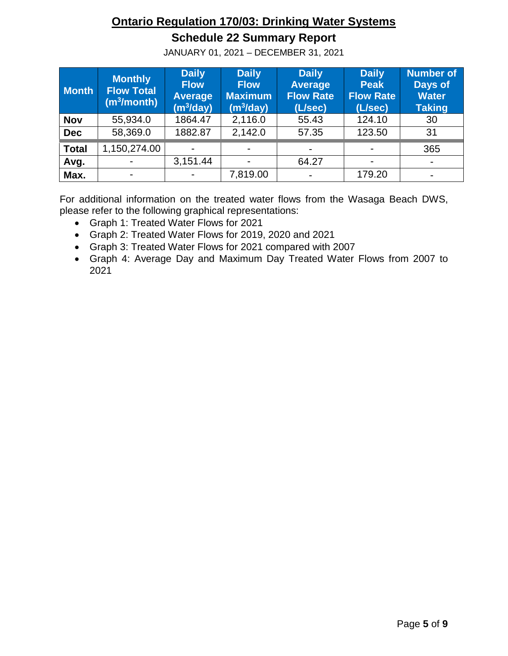# **Schedule 22 Summary Report**

JANUARY 01, 2021 – DECEMBER 31, 2021

| <b>Month</b> | <b>Monthly</b><br><b>Flow Total</b><br>$(m^3/m$ onth) | <b>Daily</b><br><b>Flow</b><br><b>Average</b><br>(m <sup>3</sup> /day) | <b>Daily</b><br><b>Flow</b><br><b>Maximum</b><br>(m <sup>3</sup> /day) | <b>Daily</b><br><b>Average</b><br><b>Flow Rate</b><br>(L/sec) | <b>Daily</b><br><b>Peak</b><br><b>Flow Rate</b><br>(L/sec) | <b>Number of</b><br>Days of<br><b>Water</b><br><b>Taking</b> |
|--------------|-------------------------------------------------------|------------------------------------------------------------------------|------------------------------------------------------------------------|---------------------------------------------------------------|------------------------------------------------------------|--------------------------------------------------------------|
| <b>Nov</b>   | 55,934.0                                              | 1864.47                                                                | 2,116.0                                                                | 55.43                                                         | 124.10                                                     | 30                                                           |
| <b>Dec</b>   | 58,369.0                                              | 1882.87                                                                | 2,142.0                                                                | 57.35                                                         | 123.50                                                     | 31                                                           |
| <b>Total</b> | 1,150,274.00                                          | $\overline{\phantom{0}}$                                               |                                                                        | $\overline{\phantom{a}}$                                      |                                                            | 365                                                          |
| Avg.         |                                                       | 3,151.44                                                               |                                                                        | 64.27                                                         |                                                            | $\blacksquare$                                               |
| Max.         | $\blacksquare$                                        | $\blacksquare$                                                         | 7,819.00                                                               | $\overline{\phantom{a}}$                                      | 179.20                                                     |                                                              |

For additional information on the treated water flows from the Wasaga Beach DWS, please refer to the following graphical representations:

- Graph 1: Treated Water Flows for 2021
- Graph 2: Treated Water Flows for 2019, 2020 and 2021
- Graph 3: Treated Water Flows for 2021 compared with 2007
- Graph 4: Average Day and Maximum Day Treated Water Flows from 2007 to 2021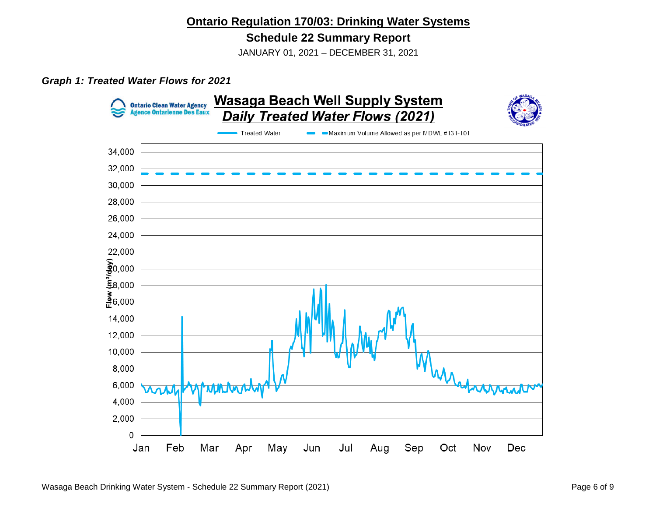#### **Schedule 22 Summary Report**

JANUARY 01, 2021 – DECEMBER 31, 2021

#### *Graph 1: Treated Water Flows for 2021*

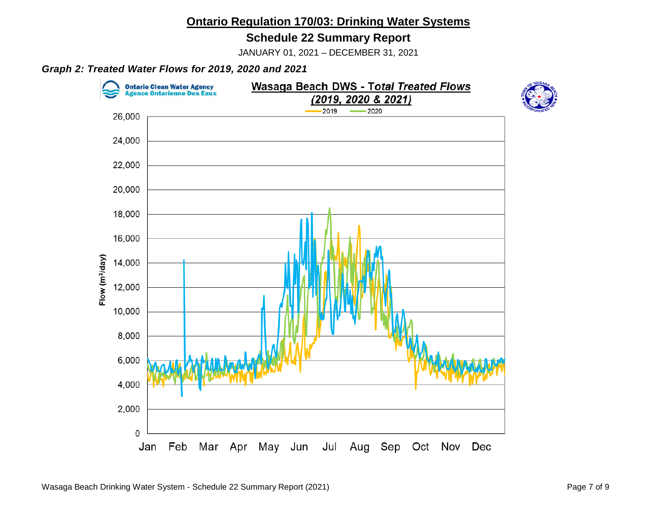#### **Schedule 22 Summary Report**

JANUARY 01, 2021 – DECEMBER 31, 2021

#### *Graph 2: Treated Water Flows for 2019, 2020 and 2021*

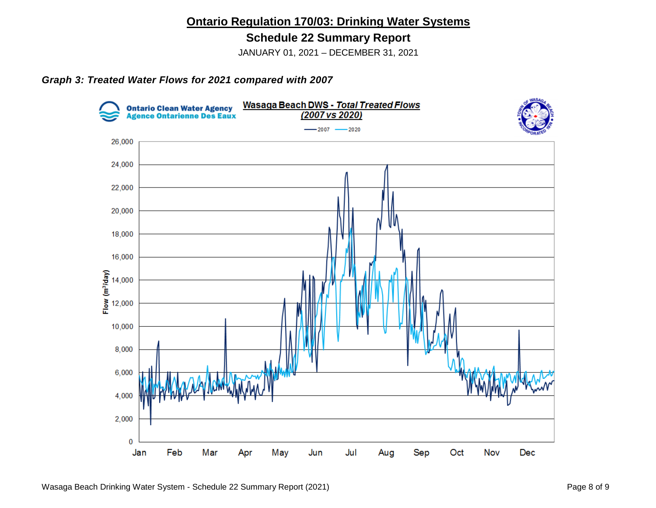**Schedule 22 Summary Report**

JANUARY 01, 2021 – DECEMBER 31, 2021

#### *Graph 3: Treated Water Flows for 2021 compared with 2007*



Wasaga Beach Drinking Water System - Schedule 22 Summary Report (2021) Wasaga Beach Drinking Water System - Schedule 22 Summary Report (2021)